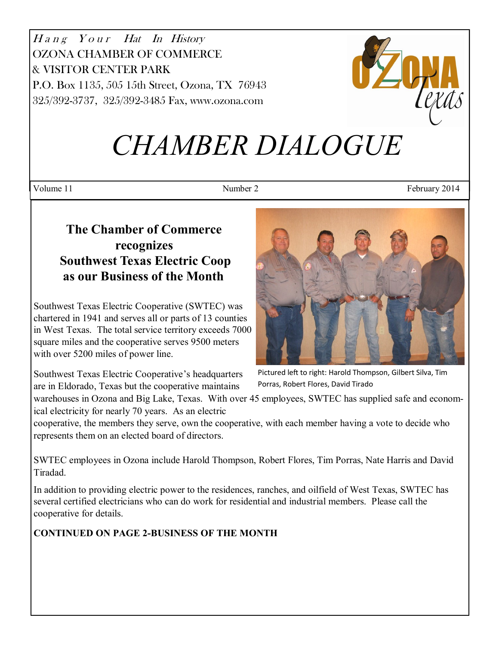$H$ a n g $Y$ o u r $H$ at In History OZONA CHAMBER OF COMMERCE & VISITOR CENTER PARK P.O. Box 1135, 505 15th Street, Ozona, TX 76943 325/392-3737, 325/392-3485 Fax, www.ozona.com



# *CHAMBER DIALOGUE*

Volume 11 February 2014

# **The Chamber of Commerce recognizes Southwest Texas Electric Coop as our Business of the Month**

Southwest Texas Electric Cooperative (SWTEC) was chartered in 1941 and serves all or parts of 13 counties in West Texas. The total service territory exceeds 7000 square miles and the cooperative serves 9500 meters with over 5200 miles of power line.

Southwest Texas Electric Cooperative's headquarters are in Eldorado, Texas but the cooperative maintains



Pictured left to right: Harold Thompson, Gilbert Silva, Tim Porras, Robert Flores, David Tirado

warehouses in Ozona and Big Lake, Texas. With over 45 employees, SWTEC has supplied safe and economical electricity for nearly 70 years. As an electric

cooperative, the members they serve, own the cooperative, with each member having a vote to decide who represents them on an elected board of directors.

SWTEC employees in Ozona include Harold Thompson, Robert Flores, Tim Porras, Nate Harris and David Tiradad.

In addition to providing electric power to the residences, ranches, and oilfield of West Texas, SWTEC has several certified electricians who can do work for residential and industrial members. Please call the cooperative for details.

**CONTINUED ON PAGE 2-BUSINESS OF THE MONTH**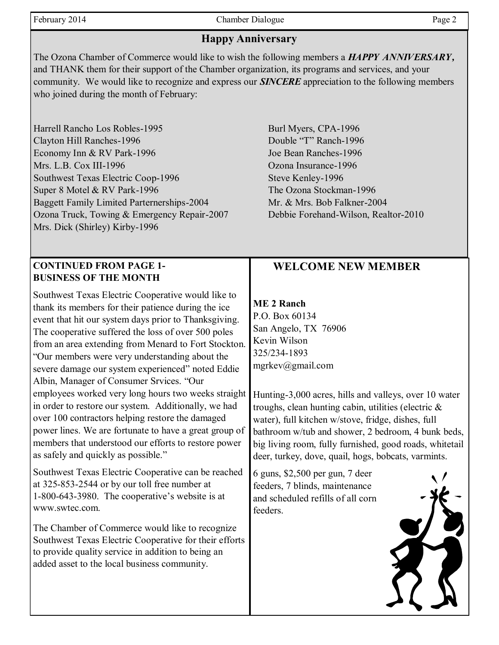February 2014 **Chamber Dialogue** Page 2

## **Happy Anniversary**

The Ozona Chamber of Commerce would like to wish the following members a *HAPPY ANNIVERSARY,* and THANK them for their support of the Chamber organization, its programs and services, and your community. We would like to recognize and express our *SINCERE* appreciation to the following members who joined during the month of February:

Harrell Rancho Los Robles-1995 Burl Myers, CPA-1996 Clayton Hill Ranches-1996 Double "T" Ranch-1996 Economy Inn & RV Park-1996 Joe Bean Ranches-1996 Mrs. L.B. Cox III-1996 Czona Insurance-1996 Southwest Texas Electric Coop-1996 Steve Kenley-1996 Super 8 Motel & RV Park-1996 The Ozona Stockman-1996 Baggett Family Limited Parternerships-2004 Mr. & Mrs. Bob Falkner-2004 Ozona Truck, Towing & Emergency Repair-2007 Debbie Forehand-Wilson, Realtor-2010 Mrs. Dick (Shirley) Kirby-1996

#### **CONTINUED FROM PAGE 1- BUSINESS OF THE MONTH**

Southwest Texas Electric Cooperative would like to thank its members for their patience during the ice event that hit our system days prior to Thanksgiving. The cooperative suffered the loss of over 500 poles from an area extending from Menard to Fort Stockton. "Our members were very understanding about the severe damage our system experienced" noted Eddie Albin, Manager of Consumer Srvices. "Our employees worked very long hours two weeks straight in order to restore our system. Additionally, we had over 100 contractors helping restore the damaged power lines. We are fortunate to have a great group of members that understood our efforts to restore power as safely and quickly as possible."

Southwest Texas Electric Cooperative can be reached at 325-853-2544 or by our toll free number at 1-800-643-3980. The cooperative's website is at www.swtec.com.

The Chamber of Commerce would like to recognize Southwest Texas Electric Cooperative for their efforts to provide quality service in addition to being an added asset to the local business community.

## **WELCOME NEW MEMBER**

## **ME 2 Ranch**

P.O. Box 60134 San Angelo, TX 76906 Kevin Wilson 325/234-1893 mgrkev@gmail.com

Hunting-3,000 acres, hills and valleys, over 10 water troughs, clean hunting cabin, utilities (electric & water), full kitchen w/stove, fridge, dishes, full bathroom w/tub and shower, 2 bedroom, 4 bunk beds, big living room, fully furnished, good roads, whitetail deer, turkey, dove, quail, hogs, bobcats, varmints.

6 guns, \$2,500 per gun, 7 deer feeders, 7 blinds, maintenance and scheduled refills of all corn feeders.

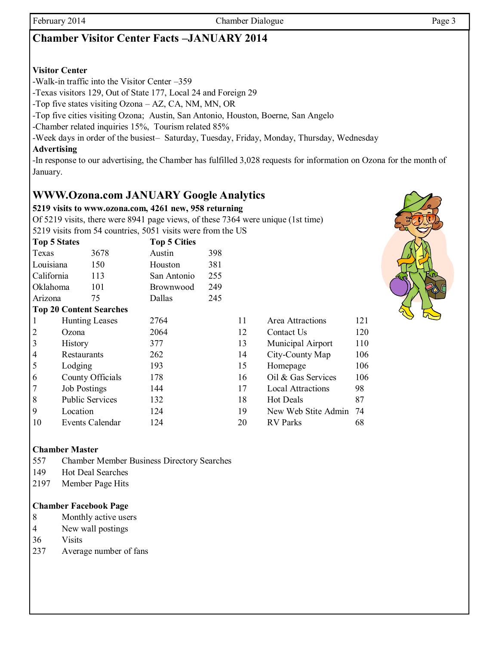# **Chamber Visitor Center Facts –JANUARY 2014**

#### **Visitor Center**

-Walk-in traffic into the Visitor Center –359

-Texas visitors 129, Out of State 177, Local 24 and Foreign 29

-Top five states visiting Ozona – AZ, CA, NM, MN, OR

-Top five cities visiting Ozona; Austin, San Antonio, Houston, Boerne, San Angelo

-Chamber related inquiries 15%, Tourism related 85%

-Week days in order of the busiest– Saturday, Tuesday, Friday, Monday, Thursday, Wednesday

#### **Advertising**

-In response to our advertising, the Chamber has fulfilled 3,028 requests for information on Ozona for the month of January.

## **WWW.Ozona.com JANUARY Google Analytics**

#### **5219 visits to www.ozona.com, 4261 new, 958 returning**

Of 5219 visits, there were 8941 page views, of these 7364 were unique (1st time)

5219 visits from 54 countries, 5051 visits were from the US

| Top 5 States   |                        |                                | <b>Top 5 Cities</b> |     |    |                          |     |
|----------------|------------------------|--------------------------------|---------------------|-----|----|--------------------------|-----|
| Texas          |                        | 3678                           | Austin              | 398 |    |                          |     |
| Louisiana      |                        | 150                            | Houston             | 381 |    |                          |     |
| California     |                        | 113                            | San Antonio         | 255 |    |                          |     |
| Oklahoma       |                        | 101                            | Brownwood           | 249 |    |                          |     |
| Arizona        |                        | 75                             | Dallas              | 245 |    |                          |     |
|                |                        | <b>Top 20 Content Searches</b> |                     |     |    |                          |     |
|                | <b>Hunting Leases</b>  |                                | 2764                |     | 11 | Area Attractions         | 121 |
| 2              | Ozona                  |                                | 2064                |     | 12 | Contact Us               | 120 |
| $\vert$ 3      | History                |                                | 377                 |     | 13 | Municipal Airport        | 110 |
| $\vert 4$      | Restaurants            |                                | 262                 |     | 14 | City-County Map          | 106 |
| 5              | Lodging                |                                | 193                 |     | 15 | Homepage                 | 106 |
| 6              | County Officials       |                                | 178                 |     | 16 | Oil & Gas Services       | 106 |
| $\overline{7}$ | <b>Job Postings</b>    |                                | 144                 |     | 17 | <b>Local Attractions</b> | 98  |
| 8              | <b>Public Services</b> |                                | 132                 |     | 18 | <b>Hot Deals</b>         | 87  |
| 9              | Location               |                                | 124                 |     | 19 | New Web Stite Admin      | 74  |
| $\vert$ 10     |                        | Events Calendar                | 124                 |     | 20 | <b>RV</b> Parks          | 68  |

| Area Attractions    | 121 |
|---------------------|-----|
| Contact Us          | 120 |
| Municipal Airport   | 110 |
| City-County Map     | 106 |
| Homepage            | 106 |
| Oil & Gas Services  | 106 |
| Local Attractions   | 98  |
| <b>Hot Deals</b>    | 87  |
| New Web Stite Admin | 74  |
| <b>RV</b> Parks     | 68  |
|                     |     |

#### **Chamber Master**

557 Chamber Member Business Directory Searches

- 149 Hot Deal Searches
- 2197 Member Page Hits

#### **Chamber Facebook Page**

- 8 Monthly active users
- 4 New wall postings

36 Visits

237 Average number of fans